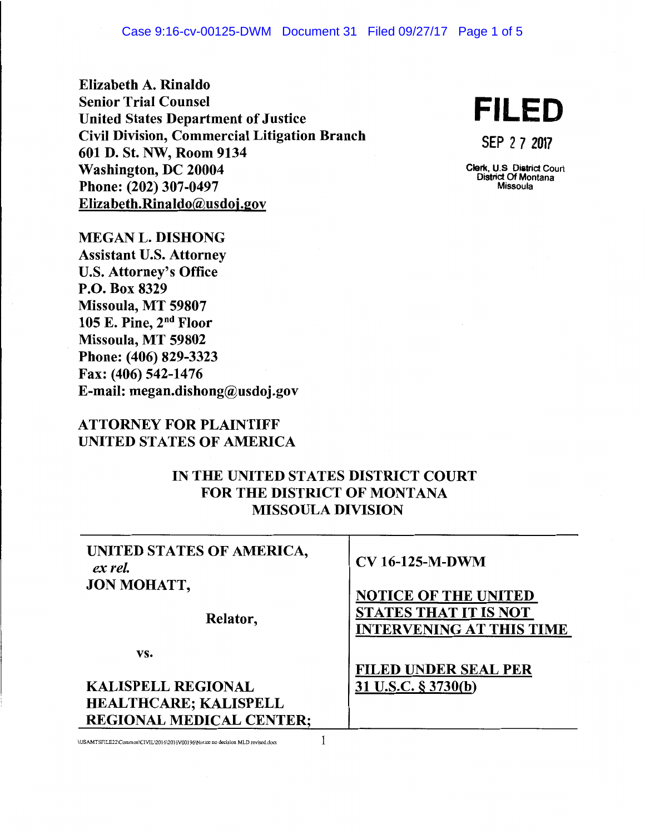Elizabeth A. Rinaldo Senior Trial Counsel Senior Trial Counsel<br>
United States Department of Justice<br> **FILED** Civil Division, Commercial Litigation Branch CIVII DIVISION, COMMETCIAI LIUGATION BRANCH<br>601 D. St. NW, Room 9134 Washington, DC 20004 Phone: (202) 307-0497 Elizabeth.Rinaldo@usdoj.gov

Clerk, U.S Diatrict Court District Of Montana Missoula

MEGAN L. DISHONG Assistant U.S. Attorney U.S. Attorney's Office P.O. Box 8329 Missoula, MT 59807 105 E. Pine, 2nd Floor Missoula, MT 59802 Phone: (406) 829-3323 Fax: (406) 542-1476 E-mail: megan.dishong@usdoj.gov

## ATTORNEY FOR PLAINTIFF UNITED STATES OF AMERICA

## IN THE UNITED STATES DISTRICT COURT FOR THE DISTRICT OF MONTANA MISSOULA DIVISION

| UNITED STATES OF AMERICA,<br>ex rel.<br>JON MOHATT,<br>Relator, | <b>CV 16-125-M-DWM</b><br><b>NOTICE OF THE UNITED</b><br><b>STATES THAT IT IS NOT</b><br><b>INTERVENING AT THIS TIME</b> |
|-----------------------------------------------------------------|--------------------------------------------------------------------------------------------------------------------------|
| VS.                                                             |                                                                                                                          |
|                                                                 | <b>FILED UNDER SEAL PER</b>                                                                                              |
| <b>KALISPELL REGIONAL</b>                                       | 31 U.S.C. § 3730(b)                                                                                                      |
| <b>HEALTHCARE; KALISPELL</b>                                    |                                                                                                                          |
| <b>REGIONAL MEDICAL CENTER:</b>                                 |                                                                                                                          |

\\USAMTSFILE22\Common\CIVIL\2016\2016V00196\Notice no decision MLD revised.docx  $1$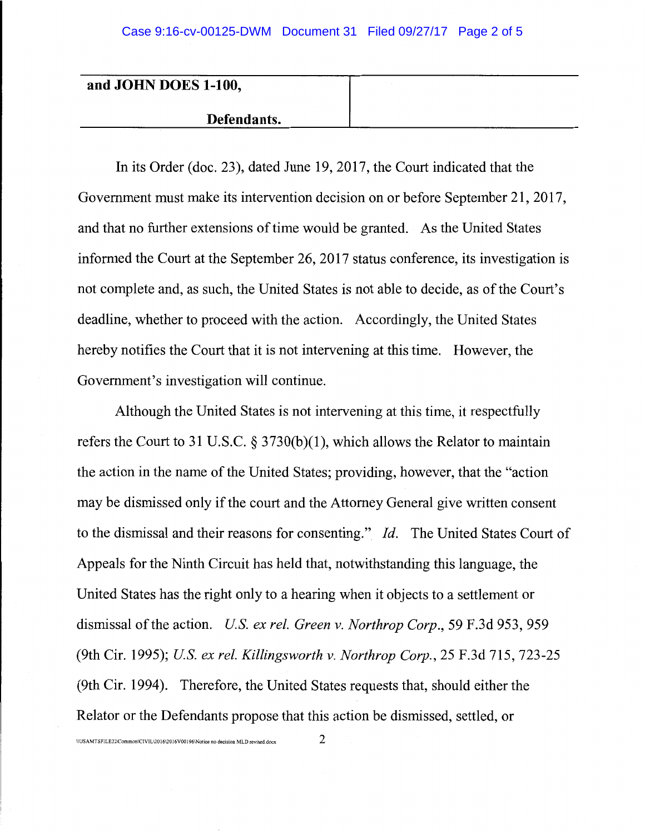| and JOHN DOES 1-100, |  |
|----------------------|--|
| Defendants.          |  |

In its Order (doc. 23), dated June 19, 2017, the Court indicated that the Government must make its intervention decision on or before September 21, 2017, and that no further extensions of time would be granted. As the United States informed the Court at the September 26, 2017 status conference, its investigation is not complete and, as such, the United States is not able to decide, as of the Court's deadline, whether to proceed with the action. Accordingly, the United States hereby notifies the Court that it is not intervening at this time. However, the Government's investigation will continue.

Although the United States is not intervening at this time, it respectfully refers the Court to 31 U.S.C.  $\S$  3730(b)(1), which allows the Relator to maintain the action in the name of the United States; providing, however, that the "action may be dismissed only if the court and the Attorney General give written consent to the dismissal and their reasons for consenting." *Id.* The United States Court of Appeals for the Ninth Circuit has held that, notwithstanding this language, the United States has the right only to a hearing when it objects to a settlement or dismissal of the action. *US. ex rel. Green v. Northrop Corp.,* 59 F.3d 953, 959 (9th Cir. 1995); *US. ex rel. Killingsworth v. Northrop Corp.,* 25 F.3d 715, 723-25 (9th Cir. 1994). Therefore, the United States requests that, should either the Relator or the Defendants propose that this action be dismissed, settled, or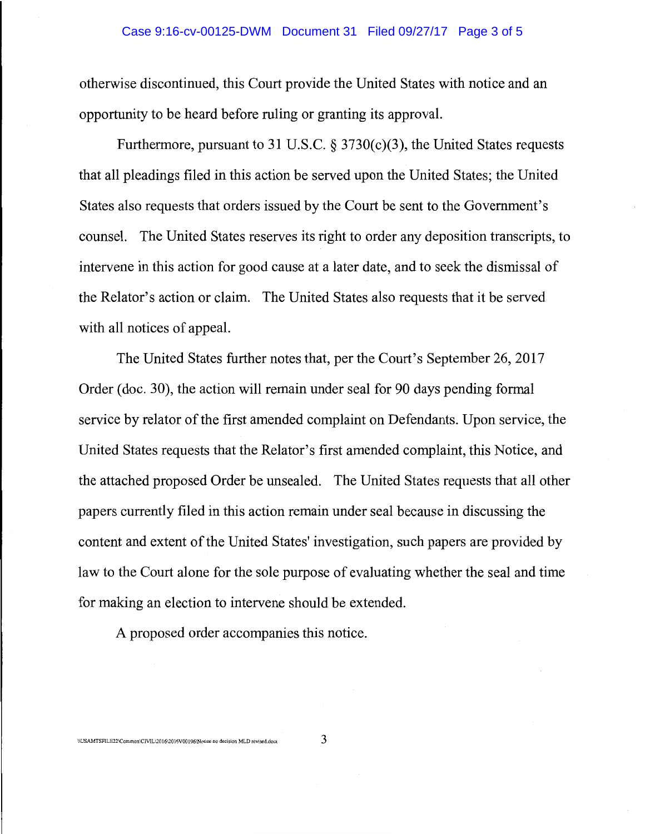## Case 9:16-cv-00125-DWM Document 31 Filed 09/27/17 Page 3 of 5

otherwise discontinued, this Court provide the United States with notice and an opportunity to be heard before ruling or granting its approval.

Furthermore, pursuant to 31 U.S.C. § 3730(c)(3), the United States requests that all pleadings filed in this action be served upon the United States; the United States also requests that orders issued by the Court be sent to the Government's counsel. The United States reserves its right to order any deposition transcripts, to intervene in this action for good cause at a later date, and to seek the dismissal of the Relator's action or claim. The United States also requests that it be served with all notices of appeal.

The United States further notes that, per the Court's September 26, 2017 Order (doc. 30), the action will remain under seal for 90 days pending formal service by relator of the first amended complaint on Defendants. Upon service, the United States requests that the Relator's first amended complaint, this Notice, and the attached proposed Order be unsealed. The United States requests that all other papers currently filed in this action remain under seal because in discussing the content and extent of the United States' investigation, such papers are provided by law to the Court alone for the sole purpose of evaluating whether the seal and time for making an election to intervene should be extended.

A proposed order accompanies this notice.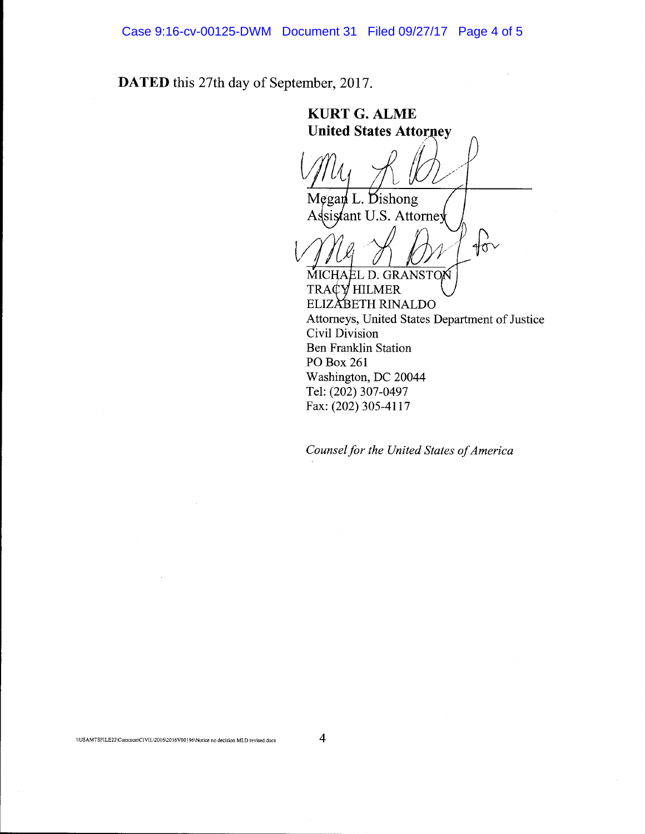Case 9:16-cv-00125-DWM Document 31 Filed 09/27/17 Page 4 of 5

**DATED** this 27th day of September, 2017.

**KURTG.ALME United States Attorney** Megan L. Dishong sistant U.S. Attorney  $\sqrt{\sigma}$ MICHAEL D. GRANSTON TRACY HILMER ELIZABETH RINALDO Attorneys, United States Department of Justice Civil Division Ben Franklin Station PO Box 261 Washington, DC 20044 Tel: (202) 307-0497 Fax: (202) 305-4117

*Counsel for the United States of America*